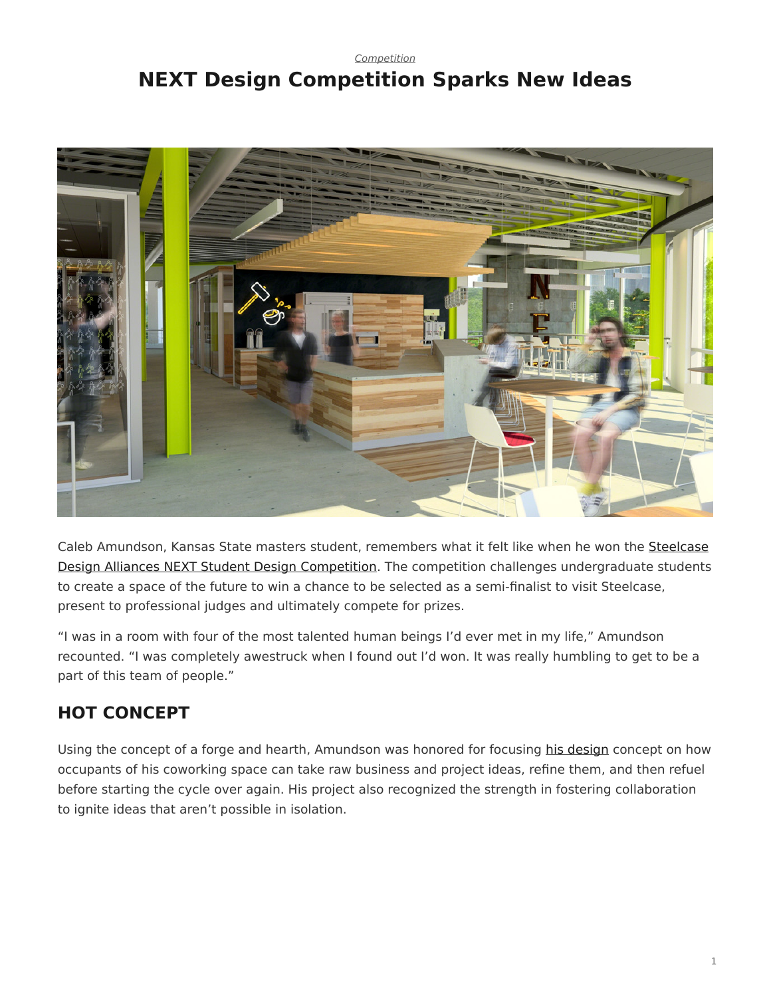### <span id="page-0-0"></span>*[Competition](https://www.steelcase.com/research/topics/competition/)* **NEXT Design Competition Sparks New Ideas**



Caleb Amundson, Kansas State masters student, remembers what it felt like when he won the [Steelcase](https://www.steelcase.com/discover/information/architects-and-designers/next-student-design-competition/) [Design Alliances NEXT Student Design Competition](https://www.steelcase.com/discover/information/architects-and-designers/next-student-design-competition/). The competition challenges undergraduate students to create a space of the future to win a chance to be selected as a semi-finalist to visit Steelcase, present to professional judges and ultimately compete for prizes.

"I was in a room with four of the most talented human beings I'd ever met in my life," Amundson recounted. "I was completely awestruck when I found out I'd won. It was really humbling to get to be a part of this team of people."

# **HOT CONCEPT**

Using the concept of a forge and hearth, Amundson was honored for focusing [his design](http://myturnstone.com/wp-content/uploads/next/Caleb.pdf) concept on how occupants of his coworking space can take raw business and project ideas, refine them, and then refuel before starting the cycle over again. His project also recognized the strength in fostering collaboration to ignite ideas that aren't possible in isolation.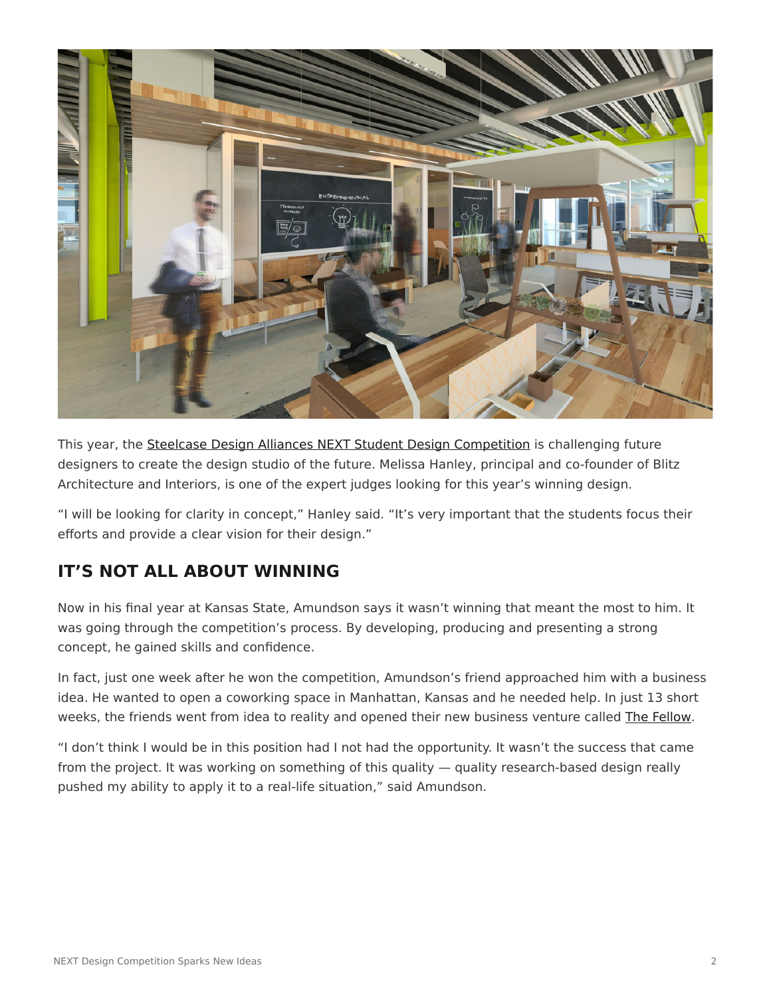

This year, the [Steelcase Design Alliances NEXT Student Design Competition](https://www.steelcase.com/discover/information/architects-and-designers/next-student-design-competition/) is challenging future designers to create the design studio of the future. Melissa Hanley, principal and co-founder of Blitz Architecture and Interiors, is one of the expert judges looking for this year's winning design.

"I will be looking for clarity in concept," Hanley said. "It's very important that the students focus their efforts and provide a clear vision for their design."

# **IT'S NOT ALL ABOUT WINNING**

Now in his final year at Kansas State, Amundson says it wasn't winning that meant the most to him. It was going through the competition's process. By developing, producing and presenting a strong concept, he gained skills and confidence.

In fact, just one week after he won the competition, Amundson's friend approached him with a business idea. He wanted to open a coworking space in Manhattan, Kansas and he needed help. In just 13 short weeks, the friends went from idea to reality and opened their new business venture called [The Fellow](http://www.thefellowmhk.com/).

"I don't think I would be in this position had I not had the opportunity. It wasn't the success that came from the project. It was working on something of this quality — quality research-based design really pushed my ability to apply it to a real-life situation," said Amundson.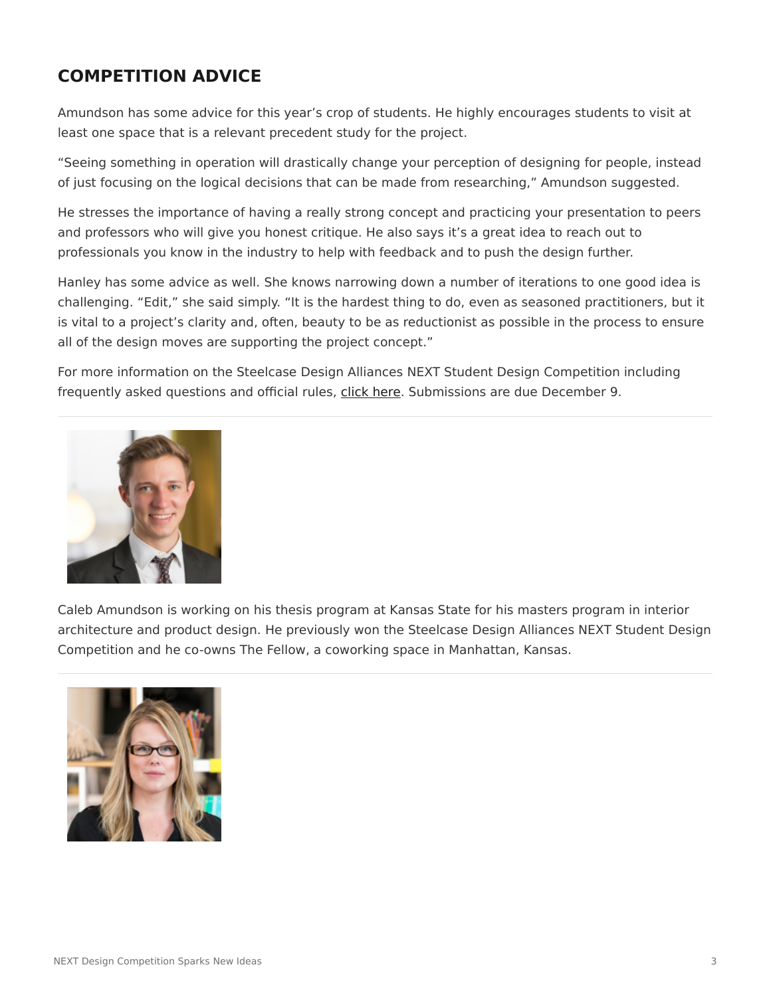## **COMPETITION ADVICE**

Amundson has some advice for this year's crop of students. He highly encourages students to visit at least one space that is a relevant precedent study for the project.

"Seeing something in operation will drastically change your perception of designing for people, instead of just focusing on the logical decisions that can be made from researching," Amundson suggested.

He stresses the importance of having a really strong concept and practicing your presentation to peers and professors who will give you honest critique. He also says it's a great idea to reach out to professionals you know in the industry to help with feedback and to push the design further.

Hanley has some advice as well. She knows narrowing down a number of iterations to one good idea is challenging. "Edit," she said simply. "It is the hardest thing to do, even as seasoned practitioners, but it is vital to a project's clarity and, often, beauty to be as reductionist as possible in the process to ensure all of the design moves are supporting the project concept."

For more information on the Steelcase Design Alliances NEXT Student Design Competition including frequently asked questions and official rules, [click here](https://www.steelcase.com/discover/information/architects-and-designers/next-student-design-competition/). Submissions are due December 9.



Caleb Amundson is working on his thesis program at Kansas State for his masters program in interior architecture and product design. He previously won the Steelcase Design Alliances NEXT Student Design Competition and he co-owns The Fellow, a coworking space in Manhattan, Kansas.